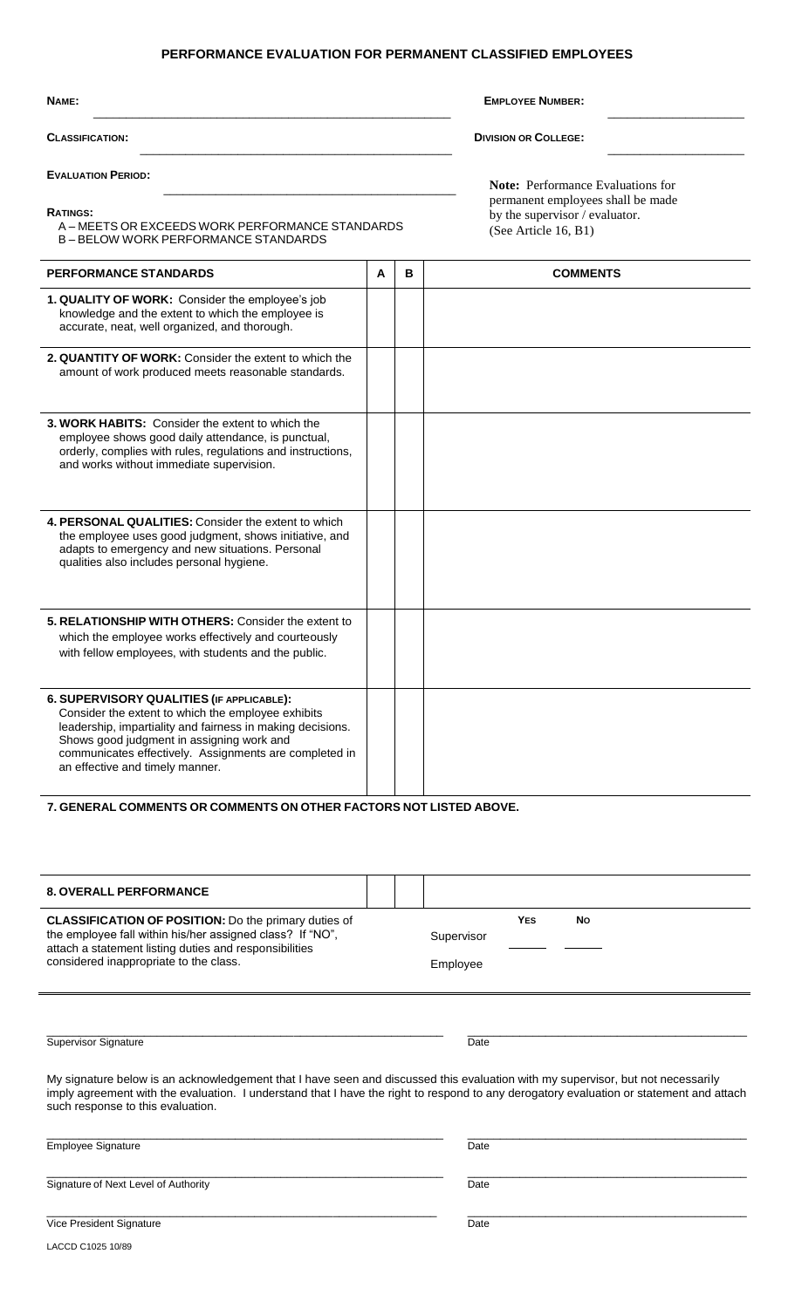# **PERFORMANCE EVALUATION FOR PERMANENT CLASSIFIED EMPLOYEES**

| NAME:                                                                                                                                                                                                                                                                                                   | <b>EMPLOYEE NUMBER:</b>                                                                     |   |                                          |  |  |  |
|---------------------------------------------------------------------------------------------------------------------------------------------------------------------------------------------------------------------------------------------------------------------------------------------------------|---------------------------------------------------------------------------------------------|---|------------------------------------------|--|--|--|
| <b>CLASSIFICATION:</b><br><b>EVALUATION PERIOD:</b>                                                                                                                                                                                                                                                     |                                                                                             |   | <b>DIVISION OR COLLEGE:</b>              |  |  |  |
|                                                                                                                                                                                                                                                                                                         |                                                                                             |   | <b>Note:</b> Performance Evaluations for |  |  |  |
| <b>RATINGS:</b><br>A – MEETS OR EXCEEDS WORK PERFORMANCE STANDARDS<br><b>B-BELOW WORK PERFORMANCE STANDARDS</b>                                                                                                                                                                                         | permanent employees shall be made<br>by the supervisor / evaluator.<br>(See Article 16, B1) |   |                                          |  |  |  |
| <b>PERFORMANCE STANDARDS</b>                                                                                                                                                                                                                                                                            | A                                                                                           | В | <b>COMMENTS</b>                          |  |  |  |
| 1. QUALITY OF WORK: Consider the employee's job<br>knowledge and the extent to which the employee is<br>accurate, neat, well organized, and thorough.                                                                                                                                                   |                                                                                             |   |                                          |  |  |  |
| 2. QUANTITY OF WORK: Consider the extent to which the<br>amount of work produced meets reasonable standards.                                                                                                                                                                                            |                                                                                             |   |                                          |  |  |  |
| 3. WORK HABITS: Consider the extent to which the<br>employee shows good daily attendance, is punctual,<br>orderly, complies with rules, regulations and instructions,<br>and works without immediate supervision.                                                                                       |                                                                                             |   |                                          |  |  |  |
| 4. PERSONAL QUALITIES: Consider the extent to which<br>the employee uses good judgment, shows initiative, and<br>adapts to emergency and new situations. Personal<br>qualities also includes personal hygiene.                                                                                          |                                                                                             |   |                                          |  |  |  |
| 5. RELATIONSHIP WITH OTHERS: Consider the extent to<br>which the employee works effectively and courteously<br>with fellow employees, with students and the public.                                                                                                                                     |                                                                                             |   |                                          |  |  |  |
| 6. SUPERVISORY QUALITIES (IF APPLICABLE):<br>Consider the extent to which the employee exhibits<br>leadership, impartiality and fairness in making decisions.<br>Shows good judgment in assigning work and<br>communicates effectively. Assignments are completed in<br>an effective and timely manner. |                                                                                             |   |                                          |  |  |  |

**7. GENERAL COMMENTS OR COMMENTS ON OTHER FACTORS NOT LISTED ABOVE.**

| <b>8. OVERALL PERFORMANCE</b>                                                                                                                                                                                                                                                                                   |  |            |            |           |  |
|-----------------------------------------------------------------------------------------------------------------------------------------------------------------------------------------------------------------------------------------------------------------------------------------------------------------|--|------------|------------|-----------|--|
| <b>CLASSIFICATION OF POSITION:</b> Do the primary duties of<br>the employee fall within his/her assigned class? If "NO",<br>attach a statement listing duties and responsibilities<br>considered inappropriate to the class.                                                                                    |  | Supervisor | <b>YES</b> | <b>No</b> |  |
|                                                                                                                                                                                                                                                                                                                 |  | Employee   |            |           |  |
|                                                                                                                                                                                                                                                                                                                 |  |            |            |           |  |
| <b>Supervisor Signature</b>                                                                                                                                                                                                                                                                                     |  | Date       |            |           |  |
| My signature below is an acknowledgement that I have seen and discussed this evaluation with my supervisor, but not necessarily<br>imply agreement with the evaluation. I understand that I have the right to respond to any derogatory evaluation or statement and attach<br>such response to this evaluation. |  |            |            |           |  |
| <b>Employee Signature</b>                                                                                                                                                                                                                                                                                       |  | Date       |            |           |  |
| Signature of Next Level of Authority                                                                                                                                                                                                                                                                            |  | Date       |            |           |  |
| Vice President Signature                                                                                                                                                                                                                                                                                        |  | Date       |            |           |  |
| LACCD C1025 10/89                                                                                                                                                                                                                                                                                               |  |            |            |           |  |